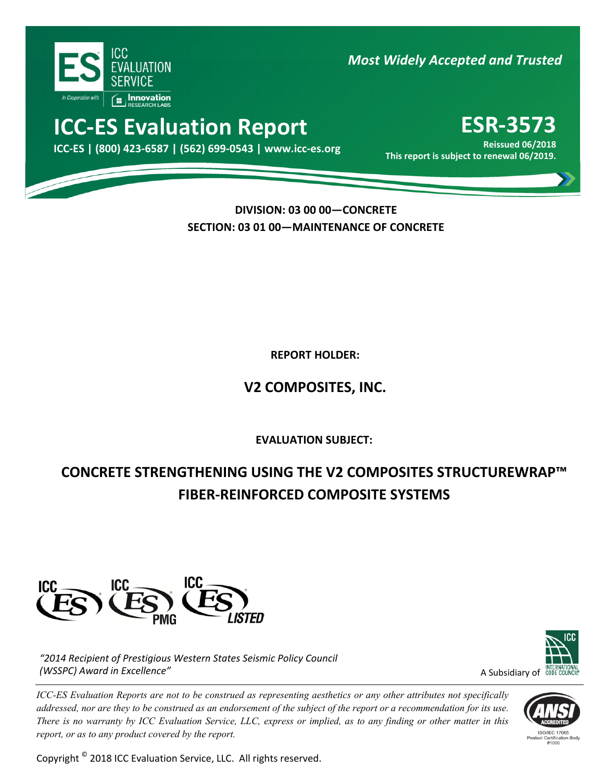

*Most Widely Accepted and Trusted*

# **ICC‐ES Evaluation Report ESR‐3573**

Reissued 06/2018 Keissued 06/2018<br>.This report is subject to renewal 06/2019

**Reissued 06/2018**

**DIVISION: 03 00 00—CONCRETE SECTION: 03 01 00—MAINTENANCE OF CONCRETE**

**REPORT HOLDER:** 

## **V2 COMPOSITES, INC.**

ľ **EVALUATION SUBJECT:**

## **CONCRETE STRENGTHENING USING THE V2 COMPOSITES STRUCTUREWRAP™ FIBER‐REINFORCED COMPOSITE SYSTEMS**



*"2014 Recipient of Prestigious Western States Seismic Policy Council (WSSPC) Award in Excellence"*

*ICC-ES Evaluation Reports are not to be construed as representing aesthetics or any other attributes not specifically addressed, nor are they to be construed as an endorsement of the subject of the report or a recommendation for its use. There is no warranty by ICC Evaluation Service, LLC, express or implied, as to any finding or other matter in this report, or as to any product covered by the report.*

Copyright © 2018 ICC Evaluation Service, LLC. All rights reserved.



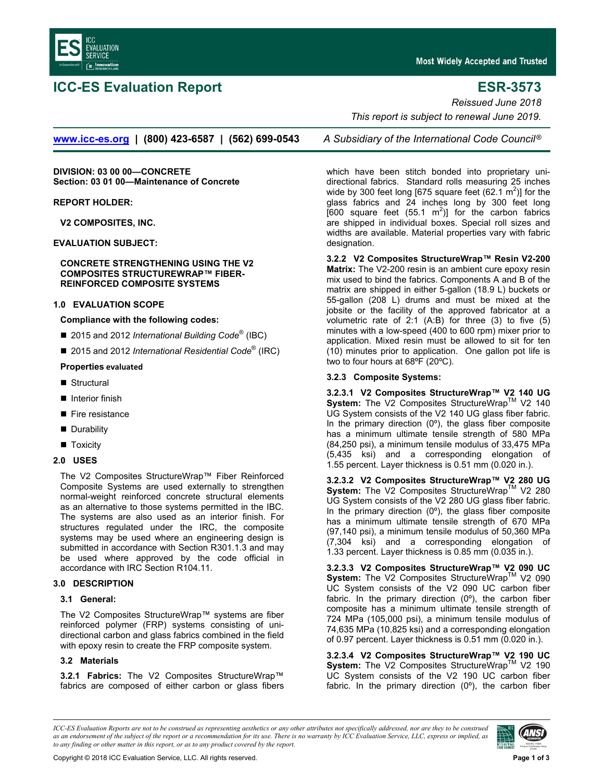

### **ICC-ES Evaluation Report ESR-3573**

**Most Widely Accepted and Trusted** 

*Reissued June 2018* 

 *This report is subject to renewal June 2019.* 

**[www.icc-es.org](http://www.icc-es.org/) | (800) 423-6587 | (562) 699-0543** *A Subsidiary of the International Code Council* ®

**DIVISION: 03 00 00—CONCRETE Section: 03 01 00—Maintenance of Concrete** 

**REPORT HOLDER:** 

**V2 COMPOSITES, INC.** 

**EVALUATION SUBJECT:** 

**CONCRETE STRENGTHENING USING THE V2 COMPOSITES STRUCTUREWRAP™ FIBER-REINFORCED COMPOSITE SYSTEMS** 

#### **1.0 EVALUATION SCOPE**

#### **Compliance with the following codes:**

- 2015 and 2012 *International Building Code*<sup>®</sup> (IBC)
- 2015 and 2012 *International Residential Code*<sup>®</sup> (IRC)

#### **Properties evaluated**

- Structural
- Interior finish
- Fire resistance
- **Durability**
- **T**oxicity

#### **2.0 USES**

The V2 Composites StructureWrap™ Fiber Reinforced Composite Systems are used externally to strengthen normal-weight reinforced concrete structural elements as an alternative to those systems permitted in the IBC. The systems are also used as an interior finish. For structures regulated under the IRC, the composite systems may be used where an engineering design is submitted in accordance with Section R301.1.3 and may be used where approved by the code official in accordance with IRC Section R104.11.

#### **3.0 DESCRIPTION**

#### **3.1 General:**

The V2 Composites StructureWrap™ systems are fiber reinforced polymer (FRP) systems consisting of unidirectional carbon and glass fabrics combined in the field with epoxy resin to create the FRP composite system.

#### **3.2 Materials**

**3.2.1 Fabrics:** The V2 Composites StructureWrap™ fabrics are composed of either carbon or glass fibers

which have been stitch bonded into proprietary unidirectional fabrics. Standard rolls measuring 25 inches wide by 300 feet long [675 square feet (62.1  $\text{m}^2$ )] for the glass fabrics and 24 inches long by 300 feet long  $[600 \text{ square feet } (55.1 \text{ m}^2)]$  for the carbon fabrics are shipped in individual boxes. Special roll sizes and widths are available. Material properties vary with fabric designation.

**3.2.2 V2 Composites StructureWrap™ Resin V2-200 Matrix:** The V2-200 resin is an ambient cure epoxy resin mix used to bind the fabrics. Components A and B of the matrix are shipped in either 5-gallon (18.9 L) buckets or 55-gallon (208 L) drums and must be mixed at the jobsite or the facility of the approved fabricator at a volumetric rate of 2:1 (A:B) for three (3) to five (5) minutes with a low-speed (400 to 600 rpm) mixer prior to application. Mixed resin must be allowed to sit for ten (10) minutes prior to application. One gallon pot life is two to four hours at 68ºF (20ºC).

#### **3.2.3 Composite Systems:**

**3.2.3.1 V2 Composites StructureWrap™ V2 140 UG**  System: The V2 Composites StructureWrap™ V2 140 UG System consists of the V2 140 UG glass fiber fabric. In the primary direction  $(0^{\circ})$ , the glass fiber composite has a minimum ultimate tensile strength of 580 MPa (84,250 psi), a minimum tensile modulus of 33,475 MPa (5,435 ksi) and a corresponding elongation of 1.55 percent. Layer thickness is 0.51 mm (0.020 in.).

**3.2.3.2 V2 Composites StructureWrap™ V2 280 UG**  System: The V2 Composites StructureWrap™ V2 280 UG System consists of the V2 280 UG glass fiber fabric. In the primary direction  $(0^{\circ})$ , the glass fiber composite has a minimum ultimate tensile strength of 670 MPa (97,140 psi), a minimum tensile modulus of 50,360 MPa (7,304 ksi) and a corresponding elongation of 1.33 percent. Layer thickness is 0.85 mm (0.035 in.).

**3.2.3.3 V2 Composites StructureWrap™ V2 090 UC**  System: The V2 Composites StructureWrap™ V2 090 UC System consists of the V2 090 UC carbon fiber fabric. In the primary direction (0º), the carbon fiber composite has a minimum ultimate tensile strength of 724 MPa (105,000 psi), a minimum tensile modulus of 74,635 MPa (10,825 ksi) and a corresponding elongation of 0.97 percent. Layer thickness is 0.51 mm (0.020 in.).

**3.2.3.4 V2 Composites StructureWrap™ V2 190 UC**  System: The V2 Composites StructureWrap<sup>™</sup> V2 190 UC System consists of the V2 190 UC carbon fiber fabric. In the primary direction (0º), the carbon fiber

*ICC-ES Evaluation Reports are not to be construed as representing aesthetics or any other attributes not specifically addressed, nor are they to be construed as an endorsement of the subject of the report or a recommendation for its use. There is no warranty by ICC Evaluation Service, LLC, express or implied, as to any finding or other matter in this report, or as to any product covered by the report.*

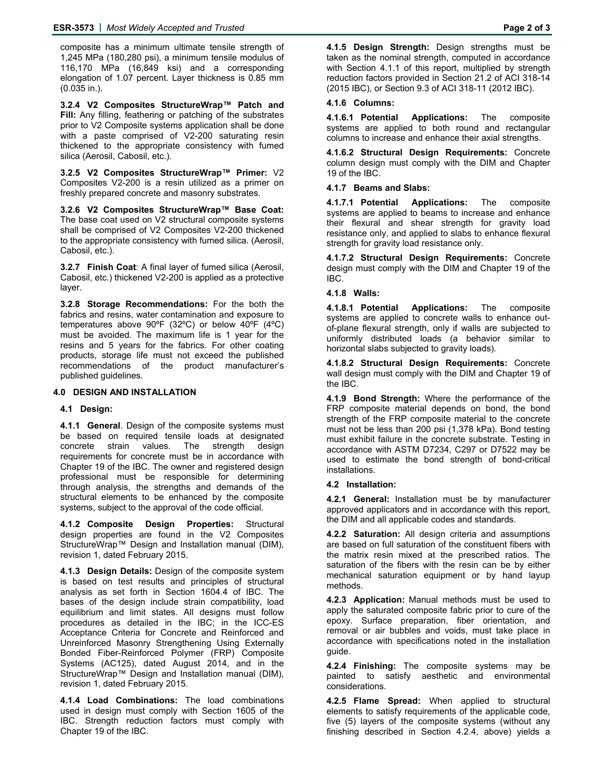composite has a minimum ultimate tensile strength of 1,245 MPa (180,280 psi), a minimum tensile modulus of 116,170 MPa (16,849 ksi) and a corresponding elongation of 1.07 percent. Layer thickness is 0.85 mm (0.035 in.).

**3.2.4 V2 Composites StructureWrap™ Patch and Fill:** Any filling, feathering or patching of the substrates prior to V2 Composite systems application shall be done with a paste comprised of V2-200 saturating resin thickened to the appropriate consistency with fumed silica (Aerosil, Cabosil, etc.).

**3.2.5 V2 Composites StructureWrap™ Primer:** V2 Composites V2-200 is a resin utilized as a primer on freshly prepared concrete and masonry substrates.

**3.2.6 V2 Composites StructureWrap™ Base Coat:** The base coat used on V2 structural composite systems shall be comprised of V2 Composites V2-200 thickened to the appropriate consistency with fumed silica. (Aerosil, Cabosil, etc.).

**3.2.7 Finish Coat**: A final layer of fumed silica (Aerosil, Cabosil, etc.) thickened V2-200 is applied as a protective layer.

**3.2.8 Storage Recommendations:** For the both the fabrics and resins, water contamination and exposure to temperatures above 90ºF (32ºC) or below 40ºF (4ºC) must be avoided. The maximum life is 1 year for the resins and 5 years for the fabrics. For other coating products, storage life must not exceed the published recommendations of the product manufacturer's published guidelines.

#### **4.0 DESIGN AND INSTALLATION**

#### **4.1 Design:**

**4.1.1 General**. Design of the composite systems must be based on required tensile loads at designated concrete strain values. The strength design requirements for concrete must be in accordance with Chapter 19 of the IBC. The owner and registered design professional must be responsible for determining through analysis, the strengths and demands of the structural elements to be enhanced by the composite systems, subject to the approval of the code official.

**4.1.2 Composite Design Properties:** Structural design properties are found in the V2 Composites StructureWrap™ Design and Installation manual (DIM), revision 1, dated February 2015.

**4.1.3 Design Details:** Design of the composite system is based on test results and principles of structural analysis as set forth in Section 1604.4 of IBC. The bases of the design include strain compatibility, load equilibrium and limit states. All designs must follow procedures as detailed in the IBC; in the ICC-ES Acceptance Criteria for Concrete and Reinforced and Unreinforced Masonry Strengthening Using Externally Bonded Fiber-Reinforced Polymer (FRP) Composite Systems (AC125), dated August 2014, and in the StructureWrap™ Design and Installation manual (DIM), revision 1, dated February 2015.

**4.1.4 Load Combinations:** The load combinations used in design must comply with Section 1605 of the IBC. Strength reduction factors must comply with Chapter 19 of the IBC.

**4.1.5 Design Strength:** Design strengths must be taken as the nominal strength, computed in accordance with Section 4.1.1 of this report, multiplied by strength reduction factors provided in Section 21.2 of ACI 318-14 (2015 IBC), or Section 9.3 of ACI 318-11 (2012 IBC).

#### **4.1.6 Columns:**

**4.1.6.1 Potential Applications:** The composite systems are applied to both round and rectangular columns to increase and enhance their axial strengths.

**4.1.6.2 Structural Design Requirements:** Concrete column design must comply with the DIM and Chapter 19 of the IBC.

### **4.1.7 Beams and Slabs:**

**4.1.7.1 Potential Applications:** The composite systems are applied to beams to increase and enhance their flexural and shear strength for gravity load resistance only, and applied to slabs to enhance flexural strength for gravity load resistance only.

**4.1.7.2 Structural Design Requirements:** Concrete design must comply with the DIM and Chapter 19 of the IBC.

### **4.1.8 Walls:**

**4.1.8.1 Potential Applications:** The composite systems are applied to concrete walls to enhance outof-plane flexural strength, only if walls are subjected to uniformly distributed loads (a behavior similar to horizontal slabs subjected to gravity loads).

**4.1.8.2 Structural Design Requirements:** Concrete wall design must comply with the DIM and Chapter 19 of the IBC.

**4.1.9 Bond Strength:** Where the performance of the FRP composite material depends on bond, the bond strength of the FRP composite material to the concrete must not be less than 200 psi (1,378 kPa). Bond testing must exhibit failure in the concrete substrate. Testing in accordance with ASTM D7234, C297 or D7522 may be used to estimate the bond strength of bond-critical installations.

#### **4.2 Installation:**

**4.2.1 General:** Installation must be by manufacturer approved applicators and in accordance with this report, the DIM and all applicable codes and standards.

**4.2.2 Saturation:** All design criteria and assumptions are based on full saturation of the constituent fibers with the matrix resin mixed at the prescribed ratios. The saturation of the fibers with the resin can be by either mechanical saturation equipment or by hand layup methods.

**4.2.3 Application:** Manual methods must be used to apply the saturated composite fabric prior to cure of the epoxy. Surface preparation, fiber orientation, and removal or air bubbles and voids, must take place in accordance with specifications noted in the installation guide.

**4.2.4 Finishing:** The composite systems may be painted to satisfy aesthetic and environmental considerations.

**4.2.5 Flame Spread:** When applied to structural elements to satisfy requirements of the applicable code, five (5) layers of the composite systems (without any finishing described in Section 4.2.4, above) yields a